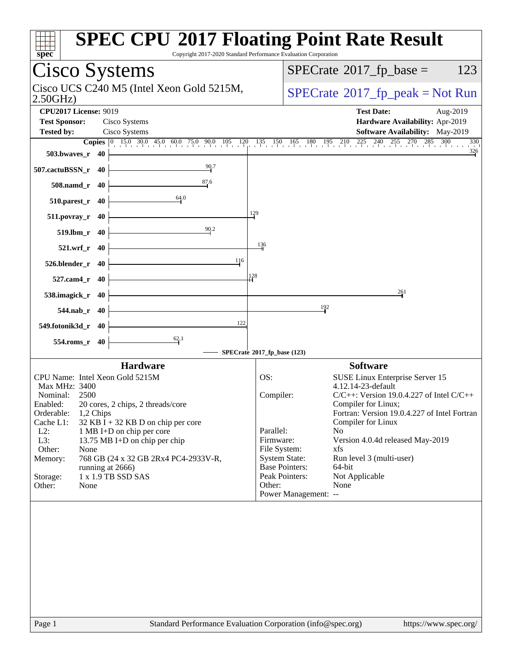| spec <sup>®</sup>                                                     | <b>SPEC CPU®2017 Floating Point Rate Result</b><br>Copyright 2017-2020 Standard Performance Evaluation Corporation              |
|-----------------------------------------------------------------------|---------------------------------------------------------------------------------------------------------------------------------|
| Cisco Systems                                                         | $SPECrate^{\circledast}2017$ _fp_base =<br>123                                                                                  |
| Cisco UCS C240 M5 (Intel Xeon Gold 5215M,<br>2.50GHz                  | $SPECrate^{\circ}2017$ _fp_peak = Not Run                                                                                       |
| <b>CPU2017 License: 9019</b><br><b>Test Sponsor:</b><br>Cisco Systems | <b>Test Date:</b><br>Aug-2019<br>Hardware Availability: Apr-2019                                                                |
| Cisco Systems<br><b>Tested by:</b>                                    | <b>Software Availability:</b> May-2019                                                                                          |
| $503.bwaves_r$ 40                                                     | <b>Copies</b> 0 15.0 30.0 45.0 60.0 75.0 90.0 105 120 135 150 165 180 195 210 225 240 255 270 285 300<br>330<br>$\frac{326}{5}$ |
| 90.7<br>507.cactuBSSN_r 40                                            |                                                                                                                                 |
| 87.6<br>508.namd_r 40                                                 |                                                                                                                                 |
| 64.0<br>$510.parest_r$ 40                                             |                                                                                                                                 |
| $511. povray_r 40$                                                    | 129                                                                                                                             |
| 90.2<br>519.lbm_r 40                                                  |                                                                                                                                 |
| 521.wrf_r 40                                                          | $\frac{136}{4}$                                                                                                                 |
| 116<br>526.blender_r 40                                               |                                                                                                                                 |
| 527.cam4_r 40                                                         | 128                                                                                                                             |
| 538.imagick_r 40                                                      | 261                                                                                                                             |
| 544.nab_r 40                                                          | 192                                                                                                                             |
| 122<br>549.fotonik3d_r 40                                             |                                                                                                                                 |
| 62.1<br>554.roms_r 40                                                 | SPECrate®2017_fp_base (123)                                                                                                     |
| <b>Hardware</b>                                                       | <b>Software</b>                                                                                                                 |
| CPU Name: Intel Xeon Gold 5215M                                       | OS:<br>SUSE Linux Enterprise Server 15                                                                                          |
| Max MHz: 3400                                                         | 4.12.14-23-default                                                                                                              |
| Nominal:<br>2500                                                      | Compiler:<br>$C/C++$ : Version 19.0.4.227 of Intel $C/C++$                                                                      |
| 20 cores, 2 chips, 2 threads/core<br>Enabled:                         | Compiler for Linux;                                                                                                             |
| Orderable:<br>1,2 Chips                                               | Fortran: Version 19.0.4.227 of Intel Fortran                                                                                    |
| Cache L1:<br>$32$ KB I + 32 KB D on chip per core                     | Compiler for Linux                                                                                                              |
| $L2$ :<br>1 MB I+D on chip per core                                   | Parallel:<br>N <sub>0</sub>                                                                                                     |
| L3:<br>13.75 MB I+D on chip per chip                                  | Firmware:<br>Version 4.0.4d released May-2019                                                                                   |
| Other:<br>None                                                        | File System:<br>xfs                                                                                                             |
| 768 GB (24 x 32 GB 2Rx4 PC4-2933V-R,<br>Memory:                       | <b>System State:</b><br>Run level 3 (multi-user)                                                                                |
| running at 2666)                                                      | <b>Base Pointers:</b><br>64-bit                                                                                                 |
| 1 x 1.9 TB SSD SAS<br>Storage:                                        | Peak Pointers:<br>Not Applicable                                                                                                |
| Other:<br>None                                                        | Other:<br>None                                                                                                                  |
|                                                                       | Power Management: --                                                                                                            |
|                                                                       |                                                                                                                                 |
|                                                                       |                                                                                                                                 |
|                                                                       |                                                                                                                                 |
|                                                                       |                                                                                                                                 |
| Page 1                                                                | Standard Performance Evaluation Corporation (info@spec.org)<br>https://www.spec.org/                                            |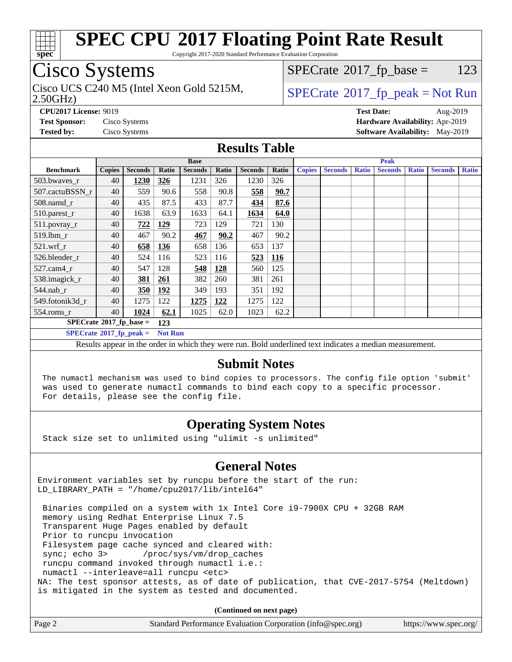

Copyright 2017-2020 Standard Performance Evaluation Corporation

### Cisco Systems

2.50GHz) Cisco UCS C240 M5 (Intel Xeon Gold 5215M,  $SPECTR = SPECrate@2017_fp\_peak = Not Run$  $SPECTR = SPECrate@2017_fp\_peak = Not Run$  $SPECTR = SPECrate@2017_fp\_peak = Not Run$ 

 $SPECTate@2017_fp\_base = 123$ 

**[CPU2017 License:](http://www.spec.org/auto/cpu2017/Docs/result-fields.html#CPU2017License)** 9019 **[Test Date:](http://www.spec.org/auto/cpu2017/Docs/result-fields.html#TestDate)** Aug-2019 **[Test Sponsor:](http://www.spec.org/auto/cpu2017/Docs/result-fields.html#TestSponsor)** Cisco Systems **[Hardware Availability:](http://www.spec.org/auto/cpu2017/Docs/result-fields.html#HardwareAvailability)** Apr-2019 **[Tested by:](http://www.spec.org/auto/cpu2017/Docs/result-fields.html#Testedby)** Cisco Systems **[Software Availability:](http://www.spec.org/auto/cpu2017/Docs/result-fields.html#SoftwareAvailability)** May-2019

#### **[Results Table](http://www.spec.org/auto/cpu2017/Docs/result-fields.html#ResultsTable)**

|                                  |               |                |                | <b>Base</b>    |       |                |            |               |                |              | <b>Peak</b>    |              |                |              |
|----------------------------------|---------------|----------------|----------------|----------------|-------|----------------|------------|---------------|----------------|--------------|----------------|--------------|----------------|--------------|
| <b>Benchmark</b>                 | <b>Copies</b> | <b>Seconds</b> | Ratio          | <b>Seconds</b> | Ratio | <b>Seconds</b> | Ratio      | <b>Copies</b> | <b>Seconds</b> | <b>Ratio</b> | <b>Seconds</b> | <b>Ratio</b> | <b>Seconds</b> | <b>Ratio</b> |
| 503.bwayes r                     | 40            | 1230           | 326            | 1231           | 326   | 1230           | 326        |               |                |              |                |              |                |              |
| 507.cactuBSSN r                  | 40            | 559            | 90.6           | 558            | 90.8  | 558            | 90.7       |               |                |              |                |              |                |              |
| $508$ .namd $r$                  | 40            | 435            | 87.5           | 433            | 87.7  | 434            | 87.6       |               |                |              |                |              |                |              |
| $510.parest_r$                   | 40            | 1638           | 63.9           | 1633           | 64.1  | 1634           | 64.0       |               |                |              |                |              |                |              |
| 511.povray_r                     | 40            | 722            | 129            | 723            | 129   | 721            | 130        |               |                |              |                |              |                |              |
| 519.lbm r                        | 40            | 467            | 90.2           | 467            | 90.2  | 467            | 90.2       |               |                |              |                |              |                |              |
| $521$ .wrf r                     | 40            | 658            | 136            | 658            | 136   | 653            | 137        |               |                |              |                |              |                |              |
| 526.blender r                    | 40            | 524            | 116            | 523            | 116   | 523            | <b>116</b> |               |                |              |                |              |                |              |
| 527.cam4 r                       | 40            | 547            | 128            | 548            | 128   | 560            | 125        |               |                |              |                |              |                |              |
| 538.imagick_r                    | 40            | 381            | 261            | 382            | 260   | 381            | 261        |               |                |              |                |              |                |              |
| $544$ .nab_r                     | 40            | 350            | <u>192</u>     | 349            | 193   | 351            | 192        |               |                |              |                |              |                |              |
| 549.fotonik3d r                  | 40            | 1275           | 122            | 1275           | 122   | 1275           | 122        |               |                |              |                |              |                |              |
| $554$ .roms $r$                  | 40            | 1024           | 62.1           | 1025           | 62.0  | 1023           | 62.2       |               |                |              |                |              |                |              |
| $SPECrate^{\circ}2017$ fp base = |               |                | 123            |                |       |                |            |               |                |              |                |              |                |              |
| $SPECrate^{\circ}2017$ fp peak = |               |                | <b>Not Run</b> |                |       |                |            |               |                |              |                |              |                |              |

Results appear in the [order in which they were run.](http://www.spec.org/auto/cpu2017/Docs/result-fields.html#RunOrder) Bold underlined text [indicates a median measurement.](http://www.spec.org/auto/cpu2017/Docs/result-fields.html#Median)

#### **[Submit Notes](http://www.spec.org/auto/cpu2017/Docs/result-fields.html#SubmitNotes)**

 The numactl mechanism was used to bind copies to processors. The config file option 'submit' was used to generate numactl commands to bind each copy to a specific processor. For details, please see the config file.

### **[Operating System Notes](http://www.spec.org/auto/cpu2017/Docs/result-fields.html#OperatingSystemNotes)**

Stack size set to unlimited using "ulimit -s unlimited"

### **[General Notes](http://www.spec.org/auto/cpu2017/Docs/result-fields.html#GeneralNotes)**

Environment variables set by runcpu before the start of the run: LD LIBRARY PATH = "/home/cpu2017/lib/intel64"

 Binaries compiled on a system with 1x Intel Core i9-7900X CPU + 32GB RAM memory using Redhat Enterprise Linux 7.5 Transparent Huge Pages enabled by default Prior to runcpu invocation Filesystem page cache synced and cleared with: sync; echo 3> /proc/sys/vm/drop\_caches runcpu command invoked through numactl i.e.: numactl --interleave=all runcpu <etc> NA: The test sponsor attests, as of date of publication, that CVE-2017-5754 (Meltdown) is mitigated in the system as tested and documented.

**(Continued on next page)**

| Page 2 | Standard Performance Evaluation Corporation (info@spec.org) | https://www.spec.org/ |
|--------|-------------------------------------------------------------|-----------------------|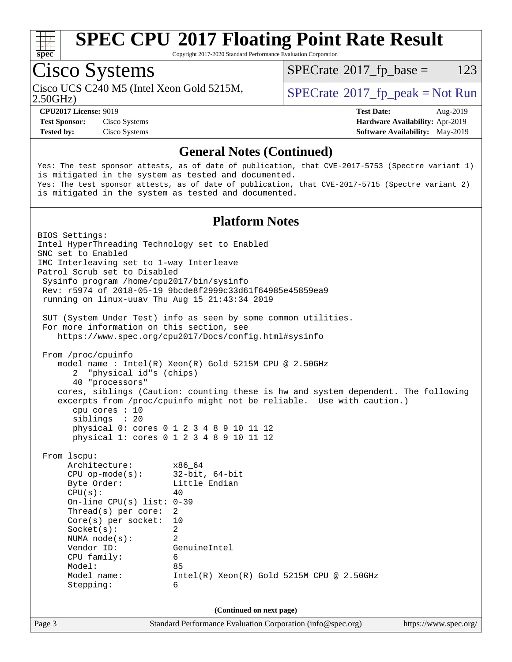

Copyright 2017-2020 Standard Performance Evaluation Corporation

### Cisco Systems

Cisco UCS C240 M5 (Intel Xeon Gold 5215M,  $\vert$  [SPECrate](http://www.spec.org/auto/cpu2017/Docs/result-fields.html#SPECrate2017fppeak)®[2017\\_fp\\_peak = N](http://www.spec.org/auto/cpu2017/Docs/result-fields.html#SPECrate2017fppeak)ot Run

 $SPECTate@2017_fp\_base = 123$ 

2.50GHz)

**[Test Sponsor:](http://www.spec.org/auto/cpu2017/Docs/result-fields.html#TestSponsor)** Cisco Systems **[Hardware Availability:](http://www.spec.org/auto/cpu2017/Docs/result-fields.html#HardwareAvailability)** Apr-2019

**[CPU2017 License:](http://www.spec.org/auto/cpu2017/Docs/result-fields.html#CPU2017License)** 9019 **[Test Date:](http://www.spec.org/auto/cpu2017/Docs/result-fields.html#TestDate)** Aug-2019 **[Tested by:](http://www.spec.org/auto/cpu2017/Docs/result-fields.html#Testedby)** Cisco Systems **[Software Availability:](http://www.spec.org/auto/cpu2017/Docs/result-fields.html#SoftwareAvailability)** May-2019

#### **[General Notes \(Continued\)](http://www.spec.org/auto/cpu2017/Docs/result-fields.html#GeneralNotes)**

Yes: The test sponsor attests, as of date of publication, that CVE-2017-5753 (Spectre variant 1) is mitigated in the system as tested and documented. Yes: The test sponsor attests, as of date of publication, that CVE-2017-5715 (Spectre variant 2) is mitigated in the system as tested and documented.

#### **[Platform Notes](http://www.spec.org/auto/cpu2017/Docs/result-fields.html#PlatformNotes)**

Page 3 Standard Performance Evaluation Corporation [\(info@spec.org\)](mailto:info@spec.org) <https://www.spec.org/> BIOS Settings: Intel HyperThreading Technology set to Enabled SNC set to Enabled IMC Interleaving set to 1-way Interleave Patrol Scrub set to Disabled Sysinfo program /home/cpu2017/bin/sysinfo Rev: r5974 of 2018-05-19 9bcde8f2999c33d61f64985e45859ea9 running on linux-uuav Thu Aug 15 21:43:34 2019 SUT (System Under Test) info as seen by some common utilities. For more information on this section, see <https://www.spec.org/cpu2017/Docs/config.html#sysinfo> From /proc/cpuinfo model name : Intel(R) Xeon(R) Gold 5215M CPU @ 2.50GHz 2 "physical id"s (chips) 40 "processors" cores, siblings (Caution: counting these is hw and system dependent. The following excerpts from /proc/cpuinfo might not be reliable. Use with caution.) cpu cores : 10 siblings : 20 physical 0: cores 0 1 2 3 4 8 9 10 11 12 physical 1: cores 0 1 2 3 4 8 9 10 11 12 From lscpu: Architecture: x86\_64 CPU op-mode(s): 32-bit, 64-bit Byte Order: Little Endian  $CPU(s):$  40 On-line CPU(s) list: 0-39 Thread(s) per core: 2 Core(s) per socket: 10 Socket(s): 2 NUMA node(s): 2 Vendor ID: GenuineIntel CPU family: 6 Model: 85 Model name: Intel(R) Xeon(R) Gold 5215M CPU @ 2.50GHz Stepping: 6 **(Continued on next page)**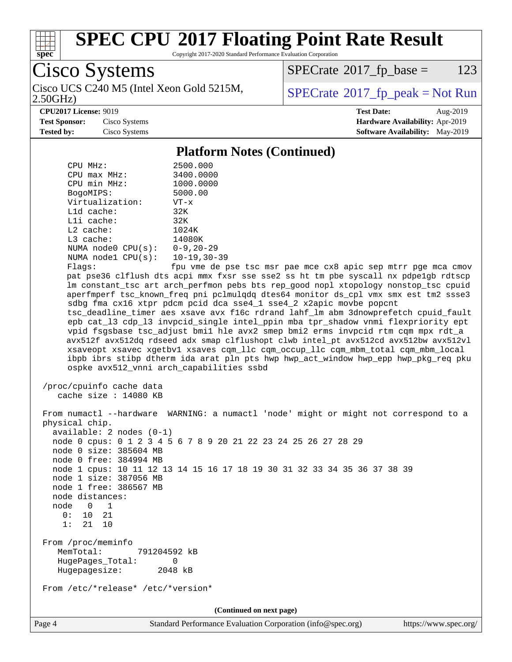

Copyright 2017-2020 Standard Performance Evaluation Corporation

Cisco Systems 2.50GHz) Cisco UCS C240 M5 (Intel Xeon Gold 5215M,  $SPECrate@2017_fp\_peak = Not Run$  $SPECrate@2017_fp\_peak = Not Run$ 

 $SPECTate$ <sup>®</sup>[2017\\_fp\\_base =](http://www.spec.org/auto/cpu2017/Docs/result-fields.html#SPECrate2017fpbase) 123

**[CPU2017 License:](http://www.spec.org/auto/cpu2017/Docs/result-fields.html#CPU2017License)** 9019 **[Test Date:](http://www.spec.org/auto/cpu2017/Docs/result-fields.html#TestDate)** Aug-2019 **[Test Sponsor:](http://www.spec.org/auto/cpu2017/Docs/result-fields.html#TestSponsor)** Cisco Systems **[Hardware Availability:](http://www.spec.org/auto/cpu2017/Docs/result-fields.html#HardwareAvailability)** Apr-2019 **[Tested by:](http://www.spec.org/auto/cpu2017/Docs/result-fields.html#Testedby)** Cisco Systems **[Software Availability:](http://www.spec.org/auto/cpu2017/Docs/result-fields.html#SoftwareAvailability)** May-2019

#### **[Platform Notes \(Continued\)](http://www.spec.org/auto/cpu2017/Docs/result-fields.html#PlatformNotes)**

| CPU MHz:<br>$CPU$ $max$ $MHz$ :<br>CPU min MHz:<br>BogoMIPS:<br>Virtualization:<br>$L1d$ cache:<br>Lli cache:<br>L2 cache:<br>L3 cache:<br>NUMA node0 $CPU(s): 0-9, 20-29$<br>NUMA node1 CPU(s): 10-19,30-39<br>Flags:                      | 2500.000<br>3400.0000<br>1000.0000<br>5000.00<br>$VT - x$<br>32K<br>32K<br>1024K<br>14080K<br>fpu vme de pse tsc msr pae mce cx8 apic sep mtrr pge mca cmov<br>pat pse36 clflush dts acpi mmx fxsr sse sse2 ss ht tm pbe syscall nx pdpelgb rdtscp<br>lm constant_tsc art arch_perfmon pebs bts rep_good nopl xtopology nonstop_tsc cpuid<br>aperfmperf tsc_known_freq pni pclmulqdq dtes64 monitor ds_cpl vmx smx est tm2 ssse3<br>sdbg fma cx16 xtpr pdcm pcid dca sse4_1 sse4_2 x2apic movbe popcnt<br>tsc_deadline_timer aes xsave avx f16c rdrand lahf_lm abm 3dnowprefetch cpuid_fault<br>epb cat_13 cdp_13 invpcid_single intel_ppin mba tpr_shadow vnmi flexpriority ept |
|---------------------------------------------------------------------------------------------------------------------------------------------------------------------------------------------------------------------------------------------|----------------------------------------------------------------------------------------------------------------------------------------------------------------------------------------------------------------------------------------------------------------------------------------------------------------------------------------------------------------------------------------------------------------------------------------------------------------------------------------------------------------------------------------------------------------------------------------------------------------------------------------------------------------------------------|
| ospke avx512_vnni arch_capabilities ssbd                                                                                                                                                                                                    | vpid fsgsbase tsc_adjust bmil hle avx2 smep bmi2 erms invpcid rtm cqm mpx rdt_a<br>avx512f avx512dq rdseed adx smap clflushopt clwb intel_pt avx512cd avx512bw avx512vl<br>xsaveopt xsavec xgetbvl xsaves cqm_llc cqm_occup_llc cqm_mbm_total cqm_mbm_local<br>ibpb ibrs stibp dtherm ida arat pln pts hwp hwp_act_window hwp_epp hwp_pkg_req pku                                                                                                                                                                                                                                                                                                                                |
| /proc/cpuinfo cache data<br>cache size $: 14080$ KB                                                                                                                                                                                         |                                                                                                                                                                                                                                                                                                                                                                                                                                                                                                                                                                                                                                                                                  |
| physical chip.<br>$available: 2 nodes (0-1)$<br>node 0 size: 385604 MB<br>node 0 free: 384994 MB<br>node 1 size: 387056 MB<br>node 1 free: 386567 MB<br>node distances:<br>node<br>$\overline{0}$<br>1<br>0 :<br>10<br>21<br>1:<br>21<br>10 | From numactl --hardware WARNING: a numactl 'node' might or might not correspond to a<br>node 0 cpus: 0 1 2 3 4 5 6 7 8 9 20 21 22 23 24 25 26 27 28 29<br>node 1 cpus: 10 11 12 13 14 15 16 17 18 19 30 31 32 33 34 35 36 37 38 39                                                                                                                                                                                                                                                                                                                                                                                                                                               |
| From /proc/meminfo<br>MemTotal:<br>791204592 kB<br>HugePages Total:<br>Hugepagesize:                                                                                                                                                        | 0<br>2048 kB                                                                                                                                                                                                                                                                                                                                                                                                                                                                                                                                                                                                                                                                     |
| From /etc/*release* /etc/*version*                                                                                                                                                                                                          |                                                                                                                                                                                                                                                                                                                                                                                                                                                                                                                                                                                                                                                                                  |
|                                                                                                                                                                                                                                             | (Continued on next page)                                                                                                                                                                                                                                                                                                                                                                                                                                                                                                                                                                                                                                                         |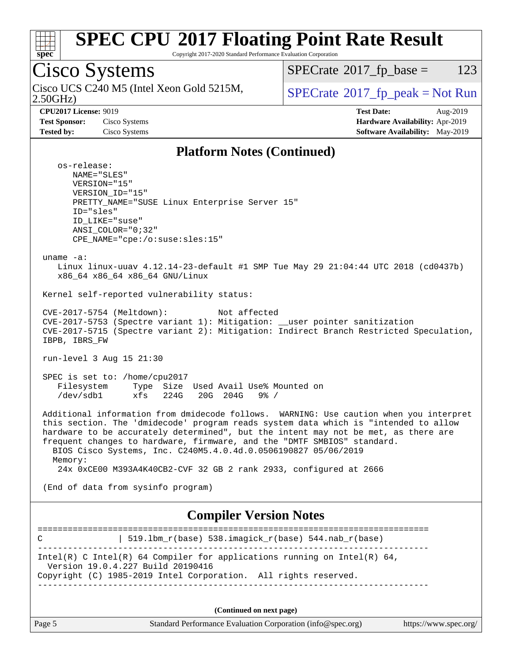

Copyright 2017-2020 Standard Performance Evaluation Corporation

Cisco Systems 2.50GHz) Cisco UCS C240 M5 (Intel Xeon Gold 5215M,  $SPECTU$ <sub>[SPECrate](http://www.spec.org/auto/cpu2017/Docs/result-fields.html#SPECrate2017fppeak)®2017\_fp\_peak</sub> = Not Run  $SPECTate$ <sup>®</sup>[2017\\_fp\\_base =](http://www.spec.org/auto/cpu2017/Docs/result-fields.html#SPECrate2017fpbase) 123 **[CPU2017 License:](http://www.spec.org/auto/cpu2017/Docs/result-fields.html#CPU2017License)** 9019 **[Test Date:](http://www.spec.org/auto/cpu2017/Docs/result-fields.html#TestDate)** Aug-2019 **[Test Sponsor:](http://www.spec.org/auto/cpu2017/Docs/result-fields.html#TestSponsor)** Cisco Systems **[Hardware Availability:](http://www.spec.org/auto/cpu2017/Docs/result-fields.html#HardwareAvailability)** Apr-2019 **[Tested by:](http://www.spec.org/auto/cpu2017/Docs/result-fields.html#Testedby)** Cisco Systems **[Software Availability:](http://www.spec.org/auto/cpu2017/Docs/result-fields.html#SoftwareAvailability)** May-2019 **[Platform Notes \(Continued\)](http://www.spec.org/auto/cpu2017/Docs/result-fields.html#PlatformNotes)** os-release: NAME="SLES" VERSION="15" VERSION\_ID="15" PRETTY\_NAME="SUSE Linux Enterprise Server 15" ID="sles" ID\_LIKE="suse" ANSI\_COLOR="0;32" CPE\_NAME="cpe:/o:suse:sles:15" uname -a: Linux linux-uuav 4.12.14-23-default #1 SMP Tue May 29 21:04:44 UTC 2018 (cd0437b) x86\_64 x86\_64 x86\_64 GNU/Linux Kernel self-reported vulnerability status: CVE-2017-5754 (Meltdown): Not affected CVE-2017-5753 (Spectre variant 1): Mitigation: \_\_user pointer sanitization CVE-2017-5715 (Spectre variant 2): Mitigation: Indirect Branch Restricted Speculation, IBPB, IBRS\_FW run-level 3 Aug 15 21:30 SPEC is set to: /home/cpu2017 Filesystem Type Size Used Avail Use% Mounted on /dev/sdb1 xfs 224G 20G 204G 9% / Additional information from dmidecode follows. WARNING: Use caution when you interpret this section. The 'dmidecode' program reads system data which is "intended to allow hardware to be accurately determined", but the intent may not be met, as there are frequent changes to hardware, firmware, and the "DMTF SMBIOS" standard. BIOS Cisco Systems, Inc. C240M5.4.0.4d.0.0506190827 05/06/2019 Memory: 24x 0xCE00 M393A4K40CB2-CVF 32 GB 2 rank 2933, configured at 2666 (End of data from sysinfo program) **[Compiler Version Notes](http://www.spec.org/auto/cpu2017/Docs/result-fields.html#CompilerVersionNotes)** ============================================================================== C  $| 519.1bm_r(base) 538.imagick_r(base) 544.nab_r(base)$ ------------------------------------------------------------------------------ Intel(R) C Intel(R) 64 Compiler for applications running on Intel(R)  $64$ , Version 19.0.4.227 Build 20190416 Copyright (C) 1985-2019 Intel Corporation. All rights reserved. ------------------------------------------------------------------------------ **(Continued on next page)**

Page 5 Standard Performance Evaluation Corporation [\(info@spec.org\)](mailto:info@spec.org) <https://www.spec.org/>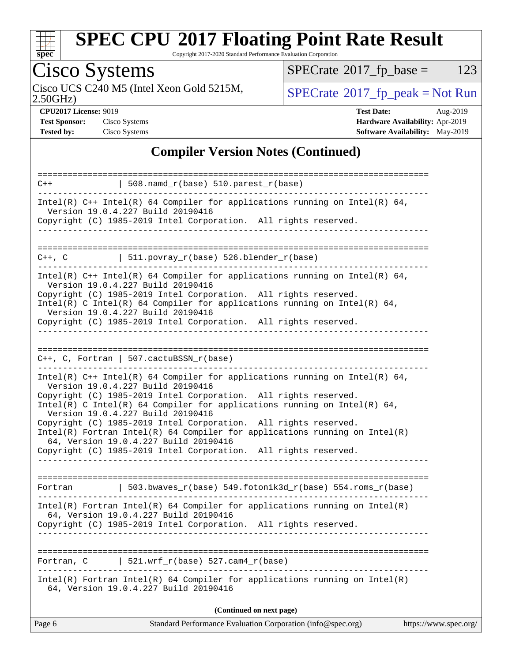

Copyright 2017-2020 Standard Performance Evaluation Corporation

# Cisco Systems

Cisco UCS C240 M5 (Intel Xeon Gold 5215M,  $SPECrate@2017_fp\_peak = Not Run$  $SPECrate@2017_fp\_peak = Not Run$ 

 $SPECTate$ <sup>®</sup>[2017\\_fp\\_base =](http://www.spec.org/auto/cpu2017/Docs/result-fields.html#SPECrate2017fpbase) 123

2.50GHz)

**[CPU2017 License:](http://www.spec.org/auto/cpu2017/Docs/result-fields.html#CPU2017License)** 9019 **[Test Date:](http://www.spec.org/auto/cpu2017/Docs/result-fields.html#TestDate)** Aug-2019 **[Test Sponsor:](http://www.spec.org/auto/cpu2017/Docs/result-fields.html#TestSponsor)** Cisco Systems **[Hardware Availability:](http://www.spec.org/auto/cpu2017/Docs/result-fields.html#HardwareAvailability)** Apr-2019 **[Tested by:](http://www.spec.org/auto/cpu2017/Docs/result-fields.html#Testedby)** Cisco Systems **[Software Availability:](http://www.spec.org/auto/cpu2017/Docs/result-fields.html#SoftwareAvailability)** May-2019

### **[Compiler Version Notes \(Continued\)](http://www.spec.org/auto/cpu2017/Docs/result-fields.html#CompilerVersionNotes)**

| Intel(R) Fortran Intel(R) 64 Compiler for applications running on $Intel(R)$<br>64, Version 19.0.4.227 Build 20190416<br>Copyright (C) 1985-2019 Intel Corporation. All rights reserved.<br>521.wrf $r(base)$ 527.cam4 $r(base)$<br>Fortran, C<br>$Intel(R)$ Fortran Intel(R) 64 Compiler for applications running on Intel(R)<br>64, Version 19.0.4.227 Build 20190416<br>(Continued on next page)                                                                                                                                                                                                                     |
|-------------------------------------------------------------------------------------------------------------------------------------------------------------------------------------------------------------------------------------------------------------------------------------------------------------------------------------------------------------------------------------------------------------------------------------------------------------------------------------------------------------------------------------------------------------------------------------------------------------------------|
|                                                                                                                                                                                                                                                                                                                                                                                                                                                                                                                                                                                                                         |
|                                                                                                                                                                                                                                                                                                                                                                                                                                                                                                                                                                                                                         |
|                                                                                                                                                                                                                                                                                                                                                                                                                                                                                                                                                                                                                         |
|                                                                                                                                                                                                                                                                                                                                                                                                                                                                                                                                                                                                                         |
|                                                                                                                                                                                                                                                                                                                                                                                                                                                                                                                                                                                                                         |
| $\vert$ 503.bwaves_r(base) 549.fotonik3d_r(base) 554.roms_r(base)<br>Fortran                                                                                                                                                                                                                                                                                                                                                                                                                                                                                                                                            |
|                                                                                                                                                                                                                                                                                                                                                                                                                                                                                                                                                                                                                         |
| $C++$ , C, Fortran   507.cactuBSSN_r(base)<br>.<br>Intel(R) $C++$ Intel(R) 64 Compiler for applications running on Intel(R) 64,<br>Version 19.0.4.227 Build 20190416<br>Copyright (C) 1985-2019 Intel Corporation. All rights reserved.<br>Intel(R) C Intel(R) 64 Compiler for applications running on Intel(R) 64,<br>Version 19.0.4.227 Build 20190416<br>Copyright (C) 1985-2019 Intel Corporation. All rights reserved.<br>$Intel(R)$ Fortran Intel(R) 64 Compiler for applications running on Intel(R)<br>64, Version 19.0.4.227 Build 20190416<br>Copyright (C) 1985-2019 Intel Corporation. All rights reserved. |
|                                                                                                                                                                                                                                                                                                                                                                                                                                                                                                                                                                                                                         |
| Version 19.0.4.227 Build 20190416<br>Copyright (C) 1985-2019 Intel Corporation. All rights reserved.<br>_______________________________                                                                                                                                                                                                                                                                                                                                                                                                                                                                                 |
| Intel(R) $C++$ Intel(R) 64 Compiler for applications running on Intel(R) 64,<br>Version 19.0.4.227 Build 20190416<br>Copyright (C) 1985-2019 Intel Corporation. All rights reserved.<br>Intel(R) C Intel(R) 64 Compiler for applications running on Intel(R) 64,                                                                                                                                                                                                                                                                                                                                                        |
| ===========================<br>$C++$ , C $\qquad$ 511.povray_r(base) 526.blender_r(base)                                                                                                                                                                                                                                                                                                                                                                                                                                                                                                                                |
| ________________                                                                                                                                                                                                                                                                                                                                                                                                                                                                                                                                                                                                        |
| Version 19.0.4.227 Build 20190416<br>Copyright (C) 1985-2019 Intel Corporation. All rights reserved.                                                                                                                                                                                                                                                                                                                                                                                                                                                                                                                    |
| $508.namd_r(base) 510.parest_r(base)$<br>$C++$<br>Intel(R) $C++$ Intel(R) 64 Compiler for applications running on Intel(R) 64,                                                                                                                                                                                                                                                                                                                                                                                                                                                                                          |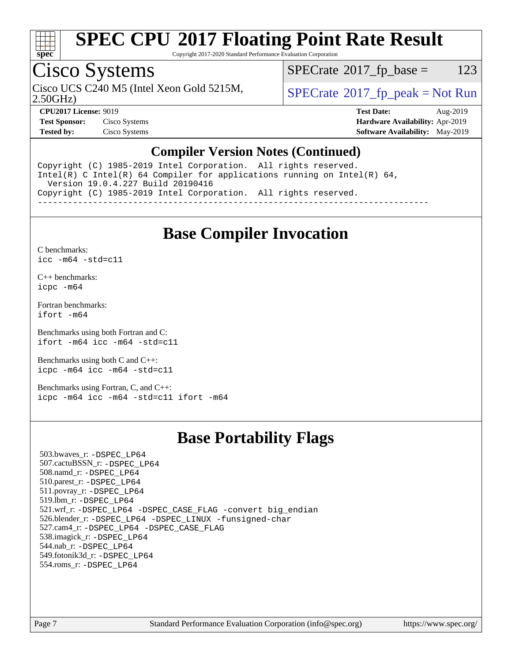

Copyright 2017-2020 Standard Performance Evaluation Corporation

### Cisco Systems

Cisco UCS C240 M5 (Intel Xeon Gold 5215M,  $SPECrate^{\circ}2017\_fp\_peak = Not Run$  $SPECrate^{\circ}2017\_fp\_peak = Not Run$ 

 $SPECTate$ <sup>®</sup>[2017\\_fp\\_base =](http://www.spec.org/auto/cpu2017/Docs/result-fields.html#SPECrate2017fpbase) 123

2.50GHz)

**[Test Sponsor:](http://www.spec.org/auto/cpu2017/Docs/result-fields.html#TestSponsor)** Cisco Systems **[Hardware Availability:](http://www.spec.org/auto/cpu2017/Docs/result-fields.html#HardwareAvailability)** Apr-2019

**[CPU2017 License:](http://www.spec.org/auto/cpu2017/Docs/result-fields.html#CPU2017License)** 9019 **[Test Date:](http://www.spec.org/auto/cpu2017/Docs/result-fields.html#TestDate)** Aug-2019 **[Tested by:](http://www.spec.org/auto/cpu2017/Docs/result-fields.html#Testedby)** Cisco Systems **[Software Availability:](http://www.spec.org/auto/cpu2017/Docs/result-fields.html#SoftwareAvailability)** May-2019

#### **[Compiler Version Notes \(Continued\)](http://www.spec.org/auto/cpu2017/Docs/result-fields.html#CompilerVersionNotes)**

Copyright (C) 1985-2019 Intel Corporation. All rights reserved. Intel(R) C Intel(R) 64 Compiler for applications running on Intel(R)  $64$ , Version 19.0.4.227 Build 20190416 Copyright (C) 1985-2019 Intel Corporation. All rights reserved. ------------------------------------------------------------------------------

### **[Base Compiler Invocation](http://www.spec.org/auto/cpu2017/Docs/result-fields.html#BaseCompilerInvocation)**

[C benchmarks](http://www.spec.org/auto/cpu2017/Docs/result-fields.html#Cbenchmarks): [icc -m64 -std=c11](http://www.spec.org/cpu2017/results/res2019q3/cpu2017-20190819-16791.flags.html#user_CCbase_intel_icc_64bit_c11_33ee0cdaae7deeeab2a9725423ba97205ce30f63b9926c2519791662299b76a0318f32ddfffdc46587804de3178b4f9328c46fa7c2b0cd779d7a61945c91cd35)

[C++ benchmarks:](http://www.spec.org/auto/cpu2017/Docs/result-fields.html#CXXbenchmarks) [icpc -m64](http://www.spec.org/cpu2017/results/res2019q3/cpu2017-20190819-16791.flags.html#user_CXXbase_intel_icpc_64bit_4ecb2543ae3f1412ef961e0650ca070fec7b7afdcd6ed48761b84423119d1bf6bdf5cad15b44d48e7256388bc77273b966e5eb805aefd121eb22e9299b2ec9d9)

[Fortran benchmarks](http://www.spec.org/auto/cpu2017/Docs/result-fields.html#Fortranbenchmarks): [ifort -m64](http://www.spec.org/cpu2017/results/res2019q3/cpu2017-20190819-16791.flags.html#user_FCbase_intel_ifort_64bit_24f2bb282fbaeffd6157abe4f878425411749daecae9a33200eee2bee2fe76f3b89351d69a8130dd5949958ce389cf37ff59a95e7a40d588e8d3a57e0c3fd751)

[Benchmarks using both Fortran and C](http://www.spec.org/auto/cpu2017/Docs/result-fields.html#BenchmarksusingbothFortranandC): [ifort -m64](http://www.spec.org/cpu2017/results/res2019q3/cpu2017-20190819-16791.flags.html#user_CC_FCbase_intel_ifort_64bit_24f2bb282fbaeffd6157abe4f878425411749daecae9a33200eee2bee2fe76f3b89351d69a8130dd5949958ce389cf37ff59a95e7a40d588e8d3a57e0c3fd751) [icc -m64 -std=c11](http://www.spec.org/cpu2017/results/res2019q3/cpu2017-20190819-16791.flags.html#user_CC_FCbase_intel_icc_64bit_c11_33ee0cdaae7deeeab2a9725423ba97205ce30f63b9926c2519791662299b76a0318f32ddfffdc46587804de3178b4f9328c46fa7c2b0cd779d7a61945c91cd35)

[Benchmarks using both C and C++](http://www.spec.org/auto/cpu2017/Docs/result-fields.html#BenchmarksusingbothCandCXX): [icpc -m64](http://www.spec.org/cpu2017/results/res2019q3/cpu2017-20190819-16791.flags.html#user_CC_CXXbase_intel_icpc_64bit_4ecb2543ae3f1412ef961e0650ca070fec7b7afdcd6ed48761b84423119d1bf6bdf5cad15b44d48e7256388bc77273b966e5eb805aefd121eb22e9299b2ec9d9) [icc -m64 -std=c11](http://www.spec.org/cpu2017/results/res2019q3/cpu2017-20190819-16791.flags.html#user_CC_CXXbase_intel_icc_64bit_c11_33ee0cdaae7deeeab2a9725423ba97205ce30f63b9926c2519791662299b76a0318f32ddfffdc46587804de3178b4f9328c46fa7c2b0cd779d7a61945c91cd35)

[Benchmarks using Fortran, C, and C++:](http://www.spec.org/auto/cpu2017/Docs/result-fields.html#BenchmarksusingFortranCandCXX) [icpc -m64](http://www.spec.org/cpu2017/results/res2019q3/cpu2017-20190819-16791.flags.html#user_CC_CXX_FCbase_intel_icpc_64bit_4ecb2543ae3f1412ef961e0650ca070fec7b7afdcd6ed48761b84423119d1bf6bdf5cad15b44d48e7256388bc77273b966e5eb805aefd121eb22e9299b2ec9d9) [icc -m64 -std=c11](http://www.spec.org/cpu2017/results/res2019q3/cpu2017-20190819-16791.flags.html#user_CC_CXX_FCbase_intel_icc_64bit_c11_33ee0cdaae7deeeab2a9725423ba97205ce30f63b9926c2519791662299b76a0318f32ddfffdc46587804de3178b4f9328c46fa7c2b0cd779d7a61945c91cd35) [ifort -m64](http://www.spec.org/cpu2017/results/res2019q3/cpu2017-20190819-16791.flags.html#user_CC_CXX_FCbase_intel_ifort_64bit_24f2bb282fbaeffd6157abe4f878425411749daecae9a33200eee2bee2fe76f3b89351d69a8130dd5949958ce389cf37ff59a95e7a40d588e8d3a57e0c3fd751)

### **[Base Portability Flags](http://www.spec.org/auto/cpu2017/Docs/result-fields.html#BasePortabilityFlags)**

 503.bwaves\_r: [-DSPEC\\_LP64](http://www.spec.org/cpu2017/results/res2019q3/cpu2017-20190819-16791.flags.html#suite_basePORTABILITY503_bwaves_r_DSPEC_LP64) 507.cactuBSSN\_r: [-DSPEC\\_LP64](http://www.spec.org/cpu2017/results/res2019q3/cpu2017-20190819-16791.flags.html#suite_basePORTABILITY507_cactuBSSN_r_DSPEC_LP64) 508.namd\_r: [-DSPEC\\_LP64](http://www.spec.org/cpu2017/results/res2019q3/cpu2017-20190819-16791.flags.html#suite_basePORTABILITY508_namd_r_DSPEC_LP64) 510.parest\_r: [-DSPEC\\_LP64](http://www.spec.org/cpu2017/results/res2019q3/cpu2017-20190819-16791.flags.html#suite_basePORTABILITY510_parest_r_DSPEC_LP64) 511.povray\_r: [-DSPEC\\_LP64](http://www.spec.org/cpu2017/results/res2019q3/cpu2017-20190819-16791.flags.html#suite_basePORTABILITY511_povray_r_DSPEC_LP64) 519.lbm\_r: [-DSPEC\\_LP64](http://www.spec.org/cpu2017/results/res2019q3/cpu2017-20190819-16791.flags.html#suite_basePORTABILITY519_lbm_r_DSPEC_LP64) 521.wrf\_r: [-DSPEC\\_LP64](http://www.spec.org/cpu2017/results/res2019q3/cpu2017-20190819-16791.flags.html#suite_basePORTABILITY521_wrf_r_DSPEC_LP64) [-DSPEC\\_CASE\\_FLAG](http://www.spec.org/cpu2017/results/res2019q3/cpu2017-20190819-16791.flags.html#b521.wrf_r_baseCPORTABILITY_DSPEC_CASE_FLAG) [-convert big\\_endian](http://www.spec.org/cpu2017/results/res2019q3/cpu2017-20190819-16791.flags.html#user_baseFPORTABILITY521_wrf_r_convert_big_endian_c3194028bc08c63ac5d04de18c48ce6d347e4e562e8892b8bdbdc0214820426deb8554edfa529a3fb25a586e65a3d812c835984020483e7e73212c4d31a38223) 526.blender\_r: [-DSPEC\\_LP64](http://www.spec.org/cpu2017/results/res2019q3/cpu2017-20190819-16791.flags.html#suite_basePORTABILITY526_blender_r_DSPEC_LP64) [-DSPEC\\_LINUX](http://www.spec.org/cpu2017/results/res2019q3/cpu2017-20190819-16791.flags.html#b526.blender_r_baseCPORTABILITY_DSPEC_LINUX) [-funsigned-char](http://www.spec.org/cpu2017/results/res2019q3/cpu2017-20190819-16791.flags.html#user_baseCPORTABILITY526_blender_r_force_uchar_40c60f00ab013830e2dd6774aeded3ff59883ba5a1fc5fc14077f794d777847726e2a5858cbc7672e36e1b067e7e5c1d9a74f7176df07886a243d7cc18edfe67) 527.cam4\_r: [-DSPEC\\_LP64](http://www.spec.org/cpu2017/results/res2019q3/cpu2017-20190819-16791.flags.html#suite_basePORTABILITY527_cam4_r_DSPEC_LP64) [-DSPEC\\_CASE\\_FLAG](http://www.spec.org/cpu2017/results/res2019q3/cpu2017-20190819-16791.flags.html#b527.cam4_r_baseCPORTABILITY_DSPEC_CASE_FLAG) 538.imagick\_r: [-DSPEC\\_LP64](http://www.spec.org/cpu2017/results/res2019q3/cpu2017-20190819-16791.flags.html#suite_basePORTABILITY538_imagick_r_DSPEC_LP64) 544.nab\_r: [-DSPEC\\_LP64](http://www.spec.org/cpu2017/results/res2019q3/cpu2017-20190819-16791.flags.html#suite_basePORTABILITY544_nab_r_DSPEC_LP64) 549.fotonik3d\_r: [-DSPEC\\_LP64](http://www.spec.org/cpu2017/results/res2019q3/cpu2017-20190819-16791.flags.html#suite_basePORTABILITY549_fotonik3d_r_DSPEC_LP64) 554.roms\_r: [-DSPEC\\_LP64](http://www.spec.org/cpu2017/results/res2019q3/cpu2017-20190819-16791.flags.html#suite_basePORTABILITY554_roms_r_DSPEC_LP64)